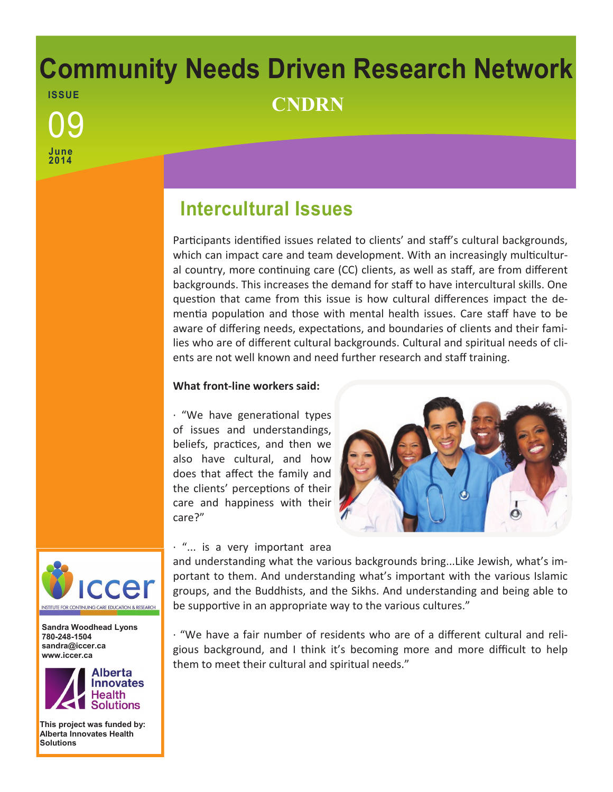# **Community Needs Driven Research Network ISSUE** <sup>09</sup> **CNDRN**

## **Intercultural Issues**

Participants identified issues related to clients' and staff's cultural backgrounds, which can impact care and team development. With an increasingly multicultural country, more continuing care (CC) clients, as well as staff, are from different backgrounds. This increases the demand for staff to have intercultural skills. One question that came from this issue is how cultural differences impact the dementia population and those with mental health issues. Care staff have to be aware of differing needs, expectations, and boundaries of clients and their families who are of different cultural backgrounds. Cultural and spiritual needs of clients are not well known and need further research and staff training.

### **What front-line workers said:**

· "We have generational types of issues and understandings, beliefs, practices, and then we also have cultural, and how does that affect the family and the clients' perceptions of their care and happiness with their care?"



· "... is a very important area

and understanding what the various backgrounds bring...Like Jewish, what's important to them. And understanding what's important with the various Islamic groups, and the Buddhists, and the Sikhs. And understanding and being able to be supportive in an appropriate way to the various cultures."

· "We have a fair number of residents who are of a different cultural and religious background, and I think it's becoming more and more difficult to help them to meet their cultural and spiritual needs."



**June 2014**

**Sandra Woodhead Lyons 780-248-1504 sandra@iccer.ca www.iccer.ca** 



**This project was funded by: Alberta Innovates Health Solutions**